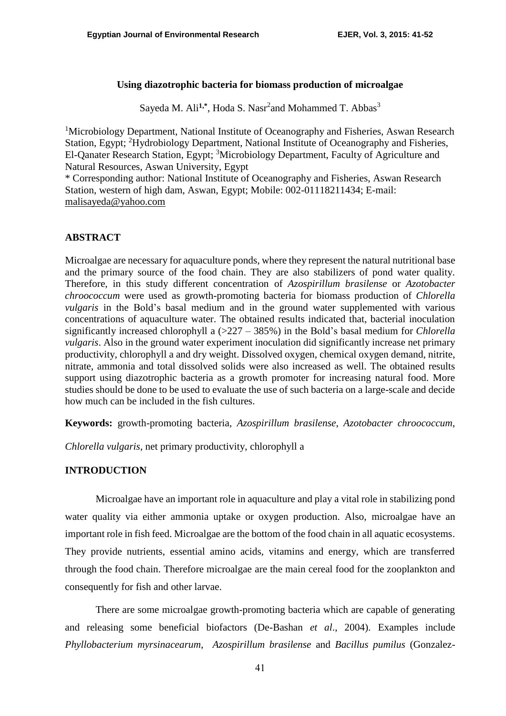## **Using diazotrophic bacteria for biomass production of microalgae**

Sayeda M. Ali<sup>1,\*</sup>, Hoda S. Nasr<sup>2</sup>and Mohammed T. Abbas<sup>3</sup>

<sup>1</sup>Microbiology Department, National Institute of Oceanography and Fisheries, Aswan Research Station, Egypt; <sup>2</sup>Hydrobiology Department, National Institute of Oceanography and Fisheries, El-Qanater Research Station, Egypt; <sup>3</sup>Microbiology Department, Faculty of Agriculture and Natural Resources, Aswan University, Egypt

\* Corresponding author: National Institute of Oceanography and Fisheries, Aswan Research Station, western of high dam, Aswan, Egypt; Mobile: 002-01118211434; E-mail: [malisayeda@yahoo.com](mailto:malisayeda@yahoo.com)

## **ABSTRACT**

Microalgae are necessary for aquaculture ponds, where they represent the natural nutritional base and the primary source of the food chain. They are also stabilizers of pond water quality. Therefore, in this study different concentration of *Azospirillum brasilense* or *Azotobacter chroococcum* were used as growth-promoting bacteria for biomass production of *Chlorella vulgaris* in the Bold's basal medium and in the ground water supplemented with various concentrations of aquaculture water. The obtained results indicated that, bacterial inoculation significantly increased chlorophyll a (>227 – 385%) in the Bold's basal medium for *Chlorella vulgaris*. Also in the ground water experiment inoculation did significantly increase net primary productivity, chlorophyll a and dry weight. Dissolved oxygen, chemical oxygen demand, nitrite, nitrate, ammonia and total dissolved solids were also increased as well. The obtained results support using diazotrophic bacteria as a growth promoter for increasing natural food. More studies should be done to be used to evaluate the use of such bacteria on a large-scale and decide how much can be included in the fish cultures.

**Keywords:** growth-promoting bacteria, *Azospirillum brasilense*, *Azotobacter chroococcum*,

*Chlorella vulgaris*, net primary productivity, chlorophyll a

## **INTRODUCTION**

Microalgae have an important role in aquaculture and play a vital role in stabilizing pond water quality via either ammonia uptake or oxygen production. Also, microalgae have an important role in fish feed. Microalgae are the bottom of the food chain in all aquatic ecosystems. They provide nutrients, essential amino acids, vitamins and energy, which are transferred through the food chain. Therefore microalgae are the main cereal food for the zooplankton and consequently for fish and other larvae.

There are some microalgae growth-promoting bacteria which are capable of generating and releasing some beneficial biofactors (De-Bashan *et al*., 2004). Examples include *Phyllobacterium myrsinacearum*, *Azospirillum brasilense* and *Bacillus pumilus* [\(Gonzalez-](file:///D:/البحث%20الجديد/ground-new/final/indroduction.docx%23Gonzalez-Bashan,%20L.E.,%20V.K.%20Lebsky,%20J.P.%20Hernandez,%20J.J.%20Bustillos%20and%20Y.%20Bashan,%202000.%20)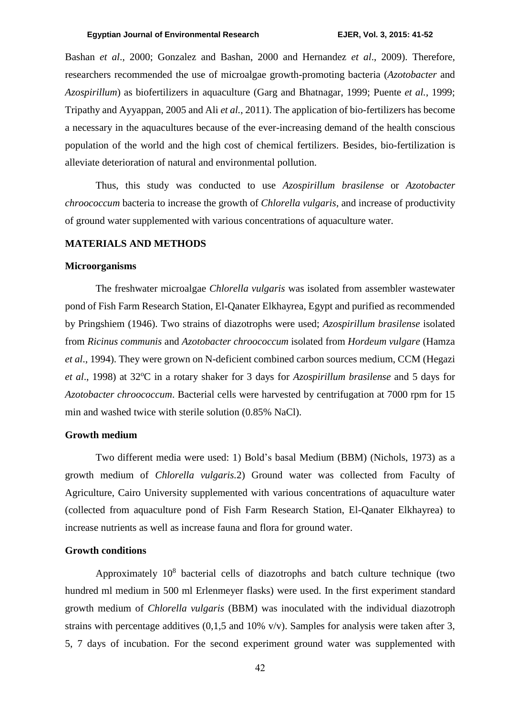[Bashan](file:///D:/البحث%20الجديد/ground-new/final/indroduction.docx%23Gonzalez-Bashan,%20L.E.,%20V.K.%20Lebsky,%20J.P.%20Hernandez,%20J.J.%20Bustillos%20and%20Y.%20Bashan,%202000.%20) *et al*., 2000; [Gonzalez and Bashan, 2000](file:///D:/البحث%20الجديد/ground-new/final/indroduction.docx%23Gonzalez,%20L.E.%20and%20Y.%20Bashan,%202000.) and [Hernandez](file:///D:/البحث%20الجديد/ground-new/final/indroduction.docx%23Hernandez,%20J.P.,%20L.E.%20de-Bashan,%20R.D.%20Johana,%20Y.%20Rodriguez%20and%20Y.%20Bashan,%202009.%20) *et al*., 2009). Therefore, researchers recommended the use of microalgae growth-promoting bacteria (*Azotobacter* and *Azospirillum*) as biofertilizers in aquaculture [\(Garg and Bhatnagar, 1999;](file:///D:/البحث%20الجديد/ground-new/final/indroduction.docx%23Garg,%20S.K.%20and%20A.%20Bhatnagar,%201999.) [Puente](file:///D:/البحث%20الجديد/ground-new/final/indroduction.docx%23Puente,%20M.E.,%20G.%20Holguin,%20B.R.%20Glick%20and%20Y.%20Bashan,%201999.) *et al.*, 1999; [Tripathy and Ayyappan, 2005](file:///D:/البحث%20الجديد/ground-new/final/indroduction.docx%23Tripathy,%20P.P.%20and%20S.%20Ayyappan,%202005.) and Ali *et al.*[, 2011\)](file:///D:/البحث%20الجديد/ground-new/final/indroduction.docx%23Ali,%20S.M.,%20M.I.A.%20Wafa%20and%20W.T.%20Abbas,%202011.%20). The application of bio-fertilizers has become a necessary in the aquacultures because of the ever-increasing demand of the health conscious population of the world and the high cost of chemical fertilizers. Besides, bio-fertilization is alleviate deterioration of natural and environmental pollution.

Thus, this study was conducted to use *Azospirillum brasilense* or *Azotobacter chroococcum* bacteria to increase the growth of *Chlorella vulgaris*, and increase of productivity of ground water supplemented with various concentrations of aquaculture water.

#### **MATERIALS AND METHODS**

#### **Microorganisms**

The freshwater microalgae *Chlorella vulgaris* was isolated from assembler wastewater pond of Fish Farm Research Station, El-Qanater Elkhayrea, Egypt and purified as recommended by Pringshiem (1946). Two strains of diazotrophs were used; *Azospirillum brasilense* isolated from *Ricinus communis* and *Azotobacter chroococcum* isolated from *Hordeum vulgare* (Hamza *et al*., 1994). They were grown on N-deficient combined carbon sources medium, CCM (Hegazi *et al.*, 1998) at 32<sup>o</sup>C in a rotary shaker for 3 days for *Azospirillum brasilense* and 5 days for *Azotobacter chroococcum*. Bacterial cells were harvested by centrifugation at 7000 rpm for 15 min and washed twice with sterile solution (0.85% NaCl).

## **Growth medium**

Two different media were used: 1) Bold's basal Medium (BBM) (Nichols, 1973) as a growth medium of *Chlorella vulgaris.*2) Ground water was collected from Faculty of Agriculture, Cairo University supplemented with various concentrations of aquaculture water (collected from aquaculture pond of Fish Farm Research Station, El-Qanater Elkhayrea) to increase nutrients as well as increase fauna and flora for ground water.

#### **Growth conditions**

Approximately 10<sup>8</sup> bacterial cells of diazotrophs and batch culture technique (two hundred ml medium in 500 ml Erlenmeyer flasks) were used. In the first experiment standard growth medium of *Chlorella vulgaris* (BBM) was inoculated with the individual diazotroph strains with percentage additives (0,1,5 and 10% v/v). Samples for analysis were taken after 3, 5, 7 days of incubation. For the second experiment ground water was supplemented with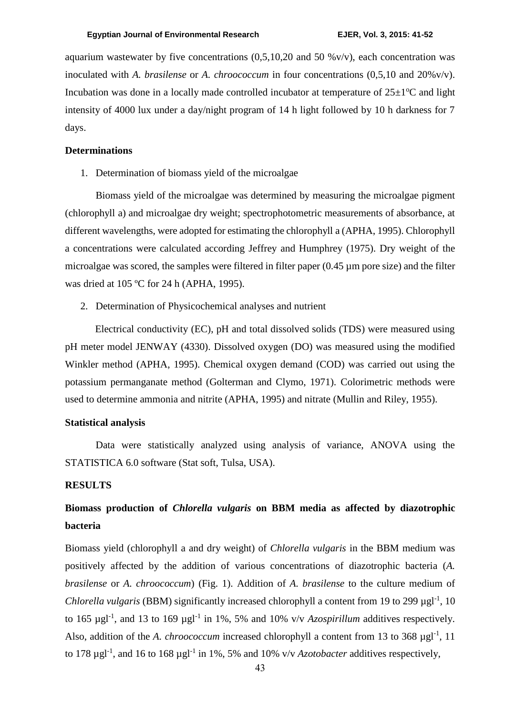aquarium wastewater by five concentrations  $(0,5,10,20$  and  $50\%$  v/v), each concentration was inoculated with *A. brasilense* or *A. chroococcum* in four concentrations (0,5,10 and 20%v/v). Incubation was done in a locally made controlled incubator at temperature of  $25\pm1\degree C$  and light intensity of 4000 lux under a day/night program of 14 h light followed by 10 h darkness for 7 days.

#### **Determinations**

1. Determination of biomass yield of the microalgae

Biomass yield of the microalgae was determined by measuring the microalgae pigment (chlorophyll a) and microalgae dry weight; spectrophotometric measurements of absorbance, at different wavelengths, were adopted for estimating the chlorophyll a (APHA, 1995). Chlorophyll a concentrations were calculated according Jeffrey and Humphrey (1975). Dry weight of the microalgae was scored, the samples were filtered in filter paper (0.45 µm pore size) and the filter was dried at 105 ºC for 24 h (APHA, 1995).

2. Determination of Physicochemical analyses and nutrient

Electrical conductivity (EC), pH and total dissolved solids (TDS) were measured using pH meter model JENWAY (4330). Dissolved oxygen (DO) was measured using the modified Winkler method (APHA, 1995). Chemical oxygen demand (COD) was carried out using the potassium permanganate method (Golterman and Clymo, 1971). Colorimetric methods were used to determine ammonia and nitrite (APHA, 1995) and nitrate (Mullin and Riley, 1955).

#### **Statistical analysis**

Data were statistically analyzed using analysis of variance, ANOVA using the STATISTICA 6.0 software (Stat soft, Tulsa, USA).

## **RESULTS**

## **Biomass production of** *Chlorella vulgaris* **on BBM media as affected by diazotrophic bacteria**

Biomass yield (chlorophyll a and dry weight) of *Chlorella vulgaris* in the BBM medium was positively affected by the addition of various concentrations of diazotrophic bacteria (*A. brasilense* or *A. chroococcum*) (Fig. 1). Addition of *A. brasilense* to the culture medium of *Chlorella vulgaris* (BBM) significantly increased chlorophyll a content from 19 to 299 µgl<sup>-1</sup>, 10 to 165  $\mu$ gl<sup>-1</sup>, and 13 to 169  $\mu$ gl<sup>-1</sup> in 1%, 5% and 10% v/v *Azospirillum* additives respectively. Also, addition of the *A. chroococcum* increased chlorophyll a content from 13 to 368 µgl<sup>-1</sup>, 11 to 178  $\mu$ gl<sup>-1</sup>, and 16 to 168  $\mu$ gl<sup>-1</sup> in 1%, 5% and 10% v/v *Azotobacter* additives respectively,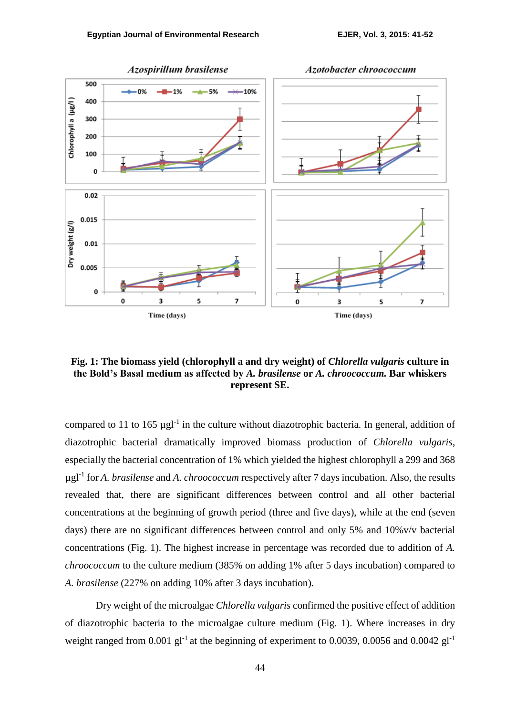

**Fig. 1: The biomass yield (chlorophyll a and dry weight) of** *Chlorella vulgaris* **culture in the Bold's Basal medium as affected by** *A. brasilense* **or** *A. chroococcum.* **Bar whiskers represent SE.**

compared to 11 to 165  $\mu$ gl<sup>-1</sup> in the culture without diazotrophic bacteria. In general, addition of diazotrophic bacterial dramatically improved biomass production of *Chlorella vulgaris*, especially the bacterial concentration of 1% which yielded the highest chlorophyll a 299 and 368 µgl-1 for *A. brasilense* and *A. chroococcum* respectively after 7 days incubation. Also, the results revealed that, there are significant differences between control and all other bacterial concentrations at the beginning of growth period (three and five days), while at the end (seven days) there are no significant differences between control and only 5% and 10%v/v bacterial concentrations (Fig. 1). The highest increase in percentage was recorded due to addition of *A. chroococcum* to the culture medium (385% on adding 1% after 5 days incubation) compared to *A. brasilense* (227% on adding 10% after 3 days incubation).

Dry weight of the microalgae *Chlorella vulgaris* confirmed the positive effect of addition of diazotrophic bacteria to the microalgae culture medium (Fig. 1). Where increases in dry weight ranged from 0.001 gl<sup>-1</sup> at the beginning of experiment to 0.0039, 0.0056 and 0.0042 gl<sup>-1</sup>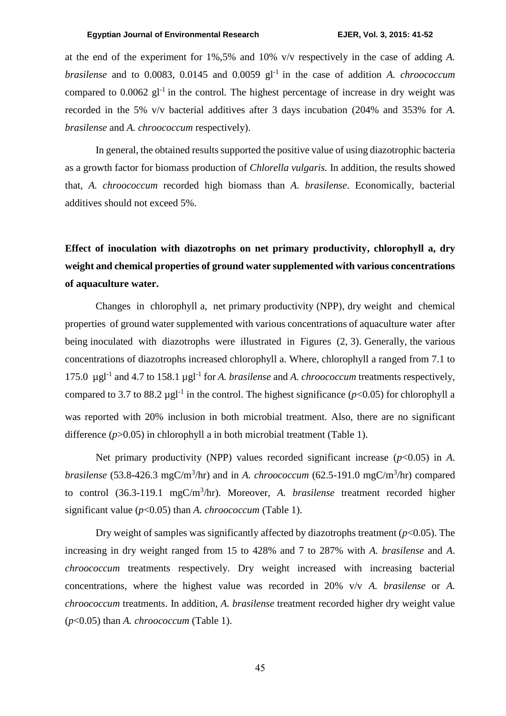#### **Egyptian Journal of Environmental Research EJER, Vol. 3, 2015: 41-52**

at the end of the experiment for 1%,5% and 10% v/v respectively in the case of adding *A. brasilense* and to 0.0083, 0.0145 and 0.0059 gl-1 in the case of addition *A. chroococcum* compared to 0.0062 gl<sup>-1</sup> in the control. The highest percentage of increase in dry weight was recorded in the 5% v/v bacterial additives after 3 days incubation (204% and 353% for *A. brasilense* and *A. chroococcum* respectively).

In general, the obtained results supported the positive value of using diazotrophic bacteria as a growth factor for biomass production of *Chlorella vulgaris.* In addition, the results showed that, *A. chroococcum* recorded high biomass than *A. brasilense*. Economically, bacterial additives should not exceed 5%.

# **Effect of inoculation with diazotrophs on net primary productivity, chlorophyll a, dry weight and chemical properties of ground water supplemented with various concentrations of aquaculture water.**

Changes in chlorophyll a, net primary productivity (NPP), dry weight and chemical properties of ground water supplemented with various concentrations of aquaculture water after being inoculated with diazotrophs were illustrated in Figures (2, 3). Generally, the various concentrations of diazotrophs increased chlorophyll a. Where, chlorophyll a ranged from 7.1 to 175.0 µgl-1 and 4.7 to 158.1 µgl-1 for *A. brasilense* and *A. chroococcum* treatments respectively, compared to 3.7 to 88.2  $\mu$ gl<sup>-1</sup> in the control. The highest significance ( $p$ <0.05) for chlorophyll a was reported with 20% inclusion in both microbial treatment. Also, there are no significant difference (*p*>0.05) in chlorophyll a in both microbial treatment (Table 1).

Net primary productivity (NPP) values recorded significant increase (*p*<0.05) in *A. brasilense* (53.8-426.3 mgC/m<sup>3</sup>/hr) and in *A. chroococcum* (62.5-191.0 mgC/m<sup>3</sup>/hr) compared to control (36.3-119.1 mgC/m<sup>3</sup> /hr). Moreover, *A. brasilense* treatment recorded higher significant value (*p*<0.05) than *A. chroococcum* (Table 1).

Dry weight of samples was significantly affected by diazotrophs treatment  $(p<0.05)$ . The increasing in dry weight ranged from 15 to 428% and 7 to 287% with *A. brasilense* and *A*. *chroococcum* treatments respectively. Dry weight increased with increasing bacterial concentrations, where the highest value was recorded in 20% v/v *A. brasilense* or *A. chroococcum* treatments. In addition, *A. brasilense* treatment recorded higher dry weight value (*p*<0.05) than *A. chroococcum* (Table 1).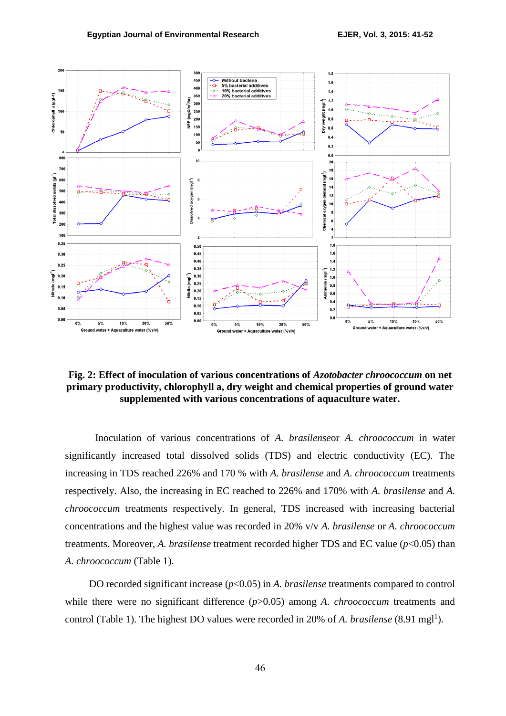

**Fig. 2: Effect of inoculation of various concentrations of** *Azotobacter chroococcum* **on net primary productivity, chlorophyll a, dry weight and chemical properties of ground water supplemented with various concentrations of aquaculture water.**

Inoculation of various concentrations of *A. brasilense*or *A. chroococcum* in water significantly increased total dissolved solids (TDS) and electric conductivity (EC). The increasing in TDS reached 226% and 170 % with *A. brasilense* and *A. chroococcum* treatments respectively. Also, the increasing in EC reached to 226% and 170% with *A. brasilense* and *A. chroococcum* treatments respectively. In general, TDS increased with increasing bacterial concentrations and the highest value was recorded in 20% v/v *A. brasilense* or *A. chroococcum* treatments. Moreover, *A. brasilense* treatment recorded higher TDS and EC value (*p*<0.05) than *A. chroococcum* (Table 1).

DO recorded significant increase ( $p<0.05$ ) in *A. brasilense* treatments compared to control while there were no significant difference ( $p$ >0.05) among *A. chroococcum* treatments and control (Table 1). The highest DO values were recorded in 20% of *A. brasilense* (8.91 mgl<sup>1</sup>).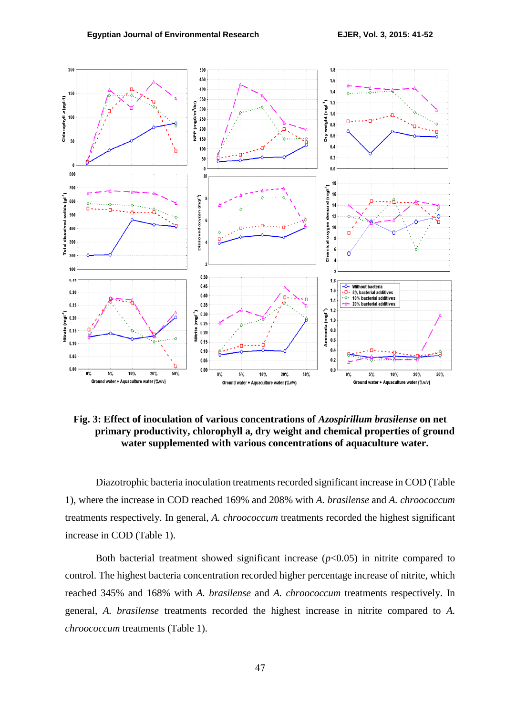

**Fig. 3: Effect of inoculation of various concentrations of** *Azospirillum brasilense* **on net primary productivity, chlorophyll a, dry weight and chemical properties of ground water supplemented with various concentrations of aquaculture water.**

Diazotrophic bacteria inoculation treatments recorded significant increase in COD (Table 1), where the increase in COD reached 169% and 208% with *A. brasilense* and *A. chroococcum* treatments respectively. In general, *A. chroococcum* treatments recorded the highest significant increase in COD (Table 1).

Both bacterial treatment showed significant increase  $(p<0.05)$  in nitrite compared to control. The highest bacteria concentration recorded higher percentage increase of nitrite, which reached 345% and 168% with *A. brasilense* and *A. chroococcum* treatments respectively. In general, *A. brasilense* treatments recorded the highest increase in nitrite compared to *A. chroococcum* treatments (Table 1).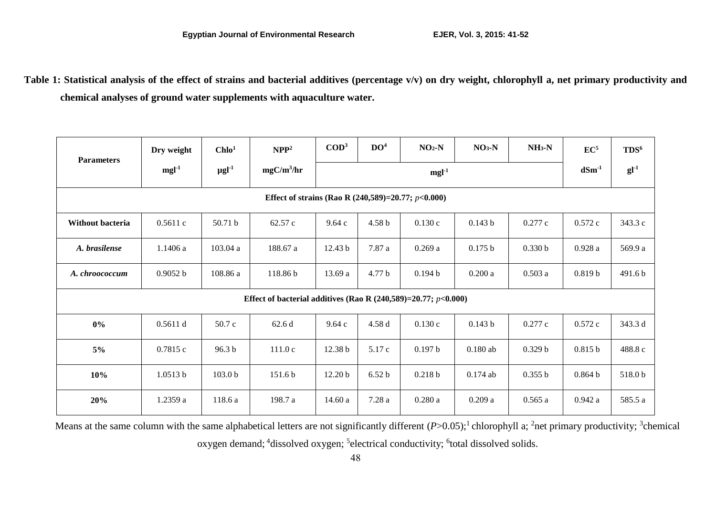**Table 1: Statistical analysis of the effect of strains and bacterial additives (percentage v/v) on dry weight, chlorophyll a, net primary productivity and chemical analyses of ground water supplements with aquaculture water.**

| <b>Parameters</b>                                                    | Dry weight | Chlo <sup>1</sup>      | NPP <sup>2</sup> | $\mathbf{COD}^3$ | DO <sup>4</sup>   | $NO2-N$ | $NO3-N$    | $NH_3-N$           | EC <sup>5</sup>    | TDS <sup>6</sup> |
|----------------------------------------------------------------------|------------|------------------------|------------------|------------------|-------------------|---------|------------|--------------------|--------------------|------------------|
|                                                                      | $mgl-1$    | $\mu$ gl <sup>-1</sup> | $mgC/m^3/hr$     | $mgl-1$          |                   |         |            |                    | $dSm^{-1}$         | $gl-1$           |
| Effect of strains (Rao R $(240,589)=20.77$ ; $p<0.000$ )             |            |                        |                  |                  |                   |         |            |                    |                    |                  |
| Without bacteria                                                     | 0.5611c    | 50.71 b                | 62.57 c          | 9.64c            | 4.58 <sub>b</sub> | 0.130c  | 0.143 b    | 0.277c             | 0.572c             | 343.3 c          |
| A. brasilense                                                        | 1.1406 a   | 103.04 a               | 188.67 a         | 12.43 b          | 7.87 a            | 0.269a  | 0.175 b    | 0.330 b            | 0.928a             | 569.9 a          |
| A. chroococcum                                                       | 0.9052 b   | 108.86 a               | 118.86 b         | 13.69 a          | 4.77 b            | 0.194 b | 0.200a     | 0.503a             | 0.819 <sub>b</sub> | 491.6b           |
| Effect of bacterial additives (Rao R $(240,589)=20.77$ ; $p<0.000$ ) |            |                        |                  |                  |                   |         |            |                    |                    |                  |
| $0\%$                                                                | 0.5611 d   | 50.7 c                 | 62.6 d           | 9.64c            | 4.58 d            | 0.130c  | 0.143 b    | 0.277c             | 0.572c             | 343.3 d          |
| $5\%$                                                                | 0.7815c    | 96.3 <sub>b</sub>      | 111.0c           | 12.38 b          | 5.17 c            | 0.197 b | $0.180$ ab | 0.329 <sub>b</sub> | 0.815 b            | 488.8 c          |
| 10%                                                                  | 1.0513 b   | 103.0 <sub>b</sub>     | 151.6b           | 12.20 b          | 6.52 <sub>b</sub> | 0.218 b | $0.174$ ab | 0.355 b            | 0.864 b            | 518.0b           |
| 20%                                                                  | 1.2359 a   | 118.6 a                | 198.7 a          | 14.60a           | 7.28a             | 0.280a  | 0.209a     | 0.565a             | 0.942a             | 585.5 a          |

Means at the same column with the same alphabetical letters are not significantly different (*P*>0.05);<sup>1</sup> chlorophyll a; <sup>2</sup>net primary productivity; <sup>3</sup>chemical

oxygen demand; <sup>4</sup>dissolved oxygen; <sup>5</sup>electrical conductivity; <sup>6</sup>total dissolved solids.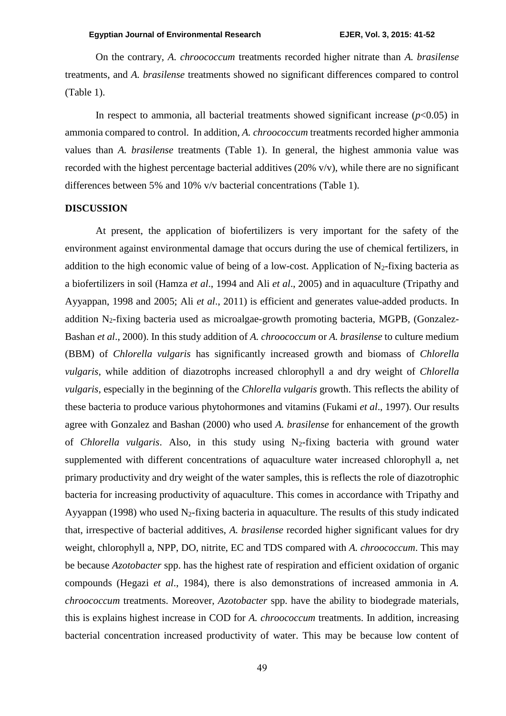On the contrary, *A. chroococcum* treatments recorded higher nitrate than *A. brasilense* treatments, and *A. brasilense* treatments showed no significant differences compared to control (Table 1).

In respect to ammonia, all bacterial treatments showed significant increase  $(p<0.05)$  in ammonia compared to control. In addition, *A. chroococcum* treatments recorded higher ammonia values than *A. brasilense* treatments (Table 1). In general, the highest ammonia value was recorded with the highest percentage bacterial additives (20% v/v), while there are no significant differences between 5% and 10% v/v bacterial concentrations (Table 1).

#### **DISCUSSION**

At present, the application of biofertilizers is very important for the safety of the environment against environmental damage that occurs during the use of chemical fertilizers, in addition to the high economic value of being of a low-cost. Application of  $N_2$ -fixing bacteria as a biofertilizers in soil (Hamza *et al*., 1994 and Ali *et al*., 2005) and in aquaculture (Tripathy and Ayyappan, 1998 and 2005; Ali *et al*., 2011) is efficient and generates value-added products. In addition N2-fixing bacteria used as microalgae-growth promoting bacteria, MGPB, (Gonzalez-Bashan *et al*., 2000). In this study addition of *A. chroococcum* or *A. brasilense* to culture medium (BBM) of *Chlorella vulgaris* has significantly increased growth and biomass of *Chlorella vulgaris*, while addition of diazotrophs increased chlorophyll a and dry weight of *Chlorella vulgaris*, especially in the beginning of the *Chlorella vulgaris* growth. This reflects the ability of these bacteria to produce various phytohormones and vitamins (Fukami *et al*., 1997). Our results agree with Gonzalez and Bashan (2000) who used *A. brasilense* for enhancement of the growth of *Chlorella vulgaris*. Also, in this study using N2-fixing bacteria with ground water supplemented with different concentrations of aquaculture water increased chlorophyll a, net primary productivity and dry weight of the water samples, this is reflects the role of diazotrophic bacteria for increasing productivity of aquaculture. This comes in accordance with Tripathy and Ayyappan (1998) who used  $N_2$ -fixing bacteria in aquaculture. The results of this study indicated that, irrespective of bacterial additives, *A. brasilense* recorded higher significant values for dry weight, chlorophyll a, NPP, DO, nitrite, EC and TDS compared with *A. chroococcum*. This may be because *Azotobacter* spp. has the highest rate of respiration and efficient oxidation of organic compounds (Hegazi *et al*., 1984), there is also demonstrations of increased ammonia in *A. chroococcum* treatments. Moreover, *Azotobacter* spp. have the ability to biodegrade materials, this is explains highest increase in COD for *A. chroococcum* treatments. In addition, increasing bacterial concentration increased productivity of water. This may be because low content of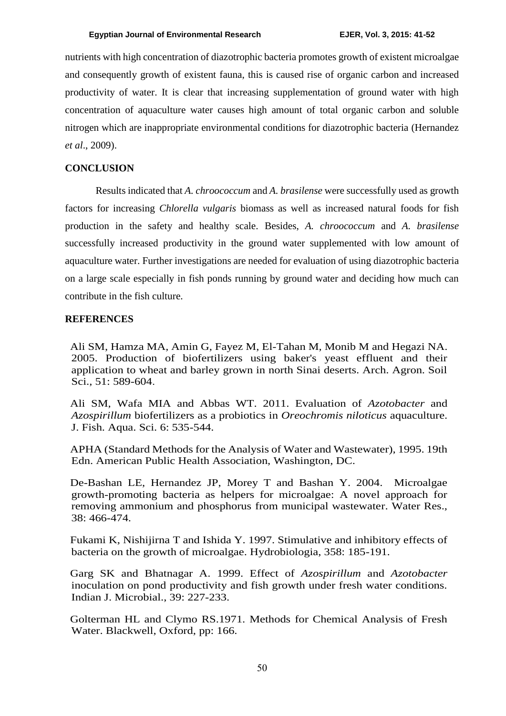nutrients with high concentration of diazotrophic bacteria promotes growth of existent microalgae and consequently growth of existent fauna, this is caused rise of organic carbon and increased productivity of water. It is clear that increasing supplementation of ground water with high concentration of aquaculture water causes high amount of total organic carbon and soluble nitrogen which are inappropriate environmental conditions for diazotrophic bacteria (Hernandez *et al*., 2009).

## **CONCLUSION**

Results indicated that *A. chroococcum* and *A. brasilense* were successfully used as growth factors for increasing *Chlorella vulgaris* biomass as well as increased natural foods for fish production in the safety and healthy scale. Besides, *A. chroococcum* and *A. brasilense* successfully increased productivity in the ground water supplemented with low amount of aquaculture water. Further investigations are needed for evaluation of using diazotrophic bacteria on a large scale especially in fish ponds running by ground water and deciding how much can contribute in the fish culture.

#### **REFERENCES**

Ali SM, Hamza MA, Amin G, Fayez M, El-Tahan M, Monib M and Hegazi NA. 2005. Production of biofertilizers using baker's yeast effluent and their application to wheat and barley grown in north Sinai deserts. Arch. Agron. Soil Sci., 51: 589-604.

Ali SM, Wafa MIA and Abbas WT. 2011. Evaluation of *Azotobacter* and *Azospirillum* biofertilizers as a probiotics in *Oreochromis niloticus* aquaculture. J. Fish. Aqua. Sci. 6: 535-544.

APHA (Standard Methods for the Analysis of Water and Wastewater), 1995. 19th Edn. American Public Health Association, Washington, DC.

De-Bashan LE, Hernandez JP, Morey T and Bashan Y. 2004. Microalgae growth-promoting bacteria as helpers for microalgae: A novel approach for removing ammonium and phosphorus from municipal wastewater. Water Res., 38: 466-474.

Fukami K, Nishijirna T and Ishida Y. 1997. Stimulative and inhibitory effects of bacteria on the growth of microalgae. Hydrobiologia, 358: 185-191.

Garg SK and Bhatnagar A. 1999. Effect of *Azospirillum* and *Azotobacter* inoculation on pond productivity and fish growth under fresh water conditions. Indian J. Microbial., 39: 227-233.

Golterman HL and Clymo RS.1971. Methods for Chemical Analysis of Fresh Water. Blackwell, Oxford, pp: 166.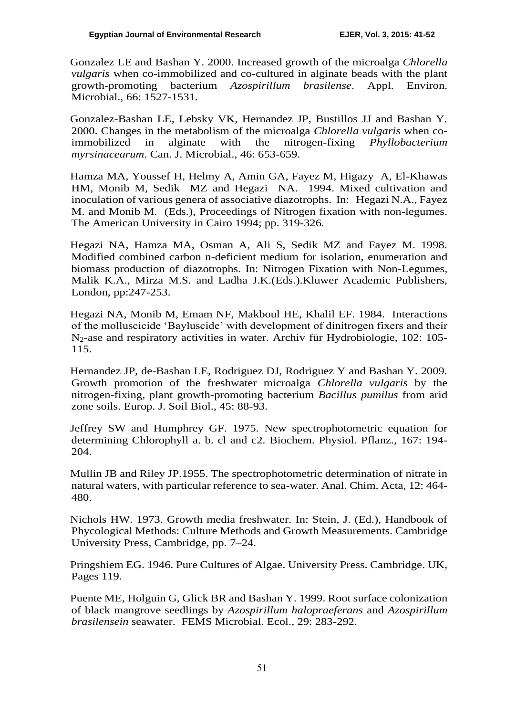Gonzalez LE and Bashan Y. 2000. Increased growth of the microalga *Chlorella vulgaris* when co-immobilized and co-cultured in alginate beads with the plant growth-promoting bacterium *Azospirillum brasilense*. Appl. Environ. Microbial., 66: 1527-1531.

Gonzalez-Bashan LE, Lebsky VK, Hernandez JP, Bustillos JJ and Bashan Y. 2000. Changes in the metabolism of the microalga *Chlorella vulgaris* when coimmobilized in alginate with the nitrogen-fixing *Phyllobacterium myrsinacearum*. Can. J. Microbial., 46: 653-659.

Hamza MA, Youssef H, Helmy A, Amin GA, Fayez M, Higazy A, El-Khawas HM, Monib M, Sedik MZ and Hegazi NA. 1994. Mixed cultivation and inoculation of various genera of associative diazotrophs. In: Hegazi N.A., Fayez M. and Monib M. (Eds.), Proceedings of Nitrogen fixation with non-legumes. The American University in Cairo 1994; pp. 319-326.

Hegazi NA, Hamza MA, Osman A, Ali S, Sedik MZ and Fayez M. 1998. Modified combined carbon n-deficient medium for isolation, enumeration and biomass production of diazotrophs. In: Nitrogen Fixation with Non-Legumes, Malik K.A., Mirza M.S. and Ladha J.K.(Eds.).Kluwer Academic Publishers, London, pp:247-253.

Hegazi NA, Monib M, Emam NF, Makboul HE, Khalil EF. 1984. Interactions of the molluscicide 'Bayluscide' with development of dinitrogen fixers and their N2-ase and respiratory activities in water. Archiv für Hydrobiologie, 102: 105- 115.

Hernandez JP, de-Bashan LE, Rodriguez DJ, Rodriguez Y and Bashan Y. 2009. Growth promotion of the freshwater microalga *Chlorella vulgaris* by the nitrogen-fixing, plant growth-promoting bacterium *Bacillus pumilus* from arid zone soils. Europ. J. Soil Biol., 45: 88-93.

Jeffrey SW and Humphrey GF. 1975. New spectrophotometric equation for determining Chlorophyll a. b. cl and c2. Biochem. Physiol. Pflanz., 167: 194- 204.

Mullin JB and Riley JP.1955. The spectrophotometric determination of nitrate in natural waters, with particular reference to sea-water. Anal. Chim. Acta, 12: 464- 480.

Nichols HW. 1973. Growth media freshwater. In: Stein, J. (Ed.), Handbook of Phycological Methods: Culture Methods and Growth Measurements. Cambridge University Press, Cambridge, pp. 7–24.

Pringshiem EG. 1946. Pure Cultures of Algae. University Press. Cambridge. UK, Pages 119.

Puente ME, Holguin G, Glick BR and Bashan Y. 1999. Root surface colonization of black mangrove seedlings by *Azospirillum halopraeferans* and *Azospirillum brasilensein* seawater. FEMS Microbial. Ecol., 29: 283-292.